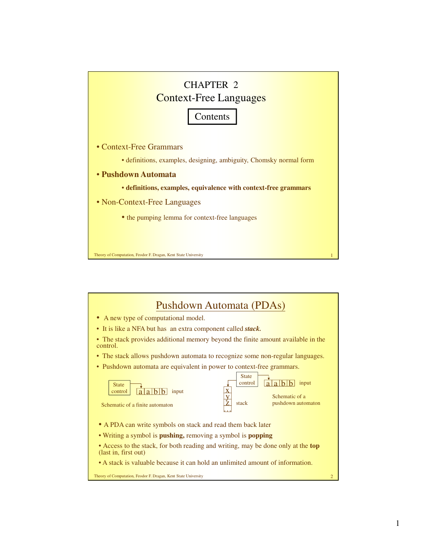

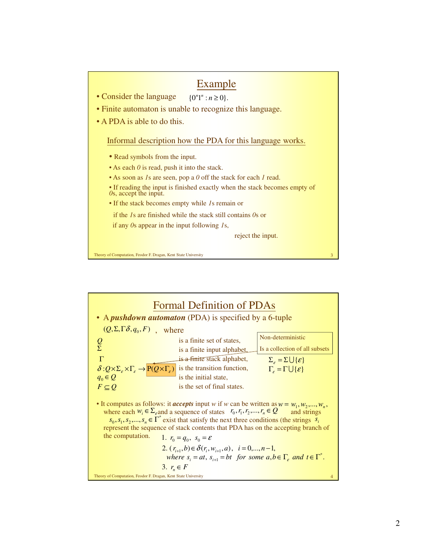

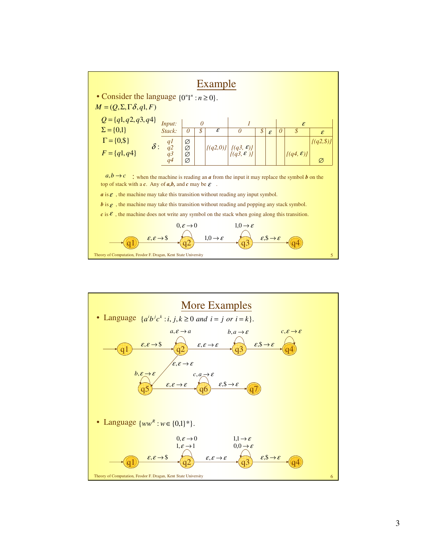

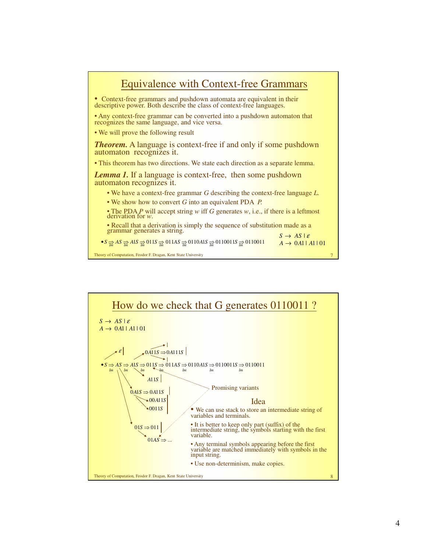

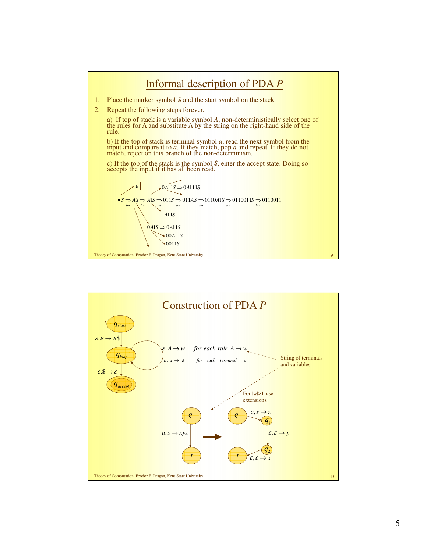

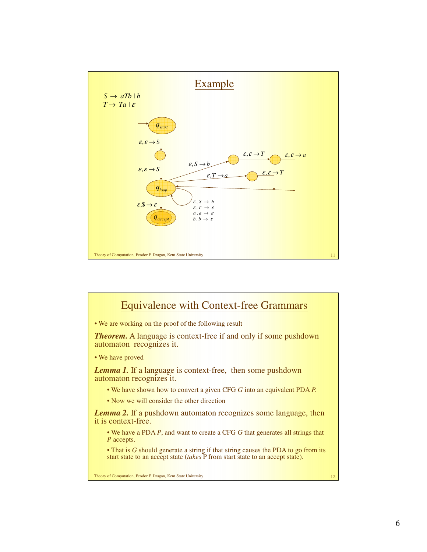

## Equivalence with Context-free Grammars

• We are working on the proof of the following result

*Theorem.* A language is context-free if and only if some pushdown automaton recognizes it.

• We have proved

*Lemma 1.* If a language is context-free, then some pushdown automaton recognizes it.

- We have shown how to convert a given CFG *G* into an equivalent PDA *P.*
- Now we will consider the other direction

*Lemma 2.* If a pushdown automaton recognizes some language, then it is context-free.

• We have a PDA *P*, and want to create a CFG *G* that generates all strings that *P* accepts.

• That is *G* should generate a string if that string causes the PDA to go from its start state to an accept state (*takes* P from start state to an accept state).

**Theory of Computation, Feodor F. Dragan, Kent State University 12 12**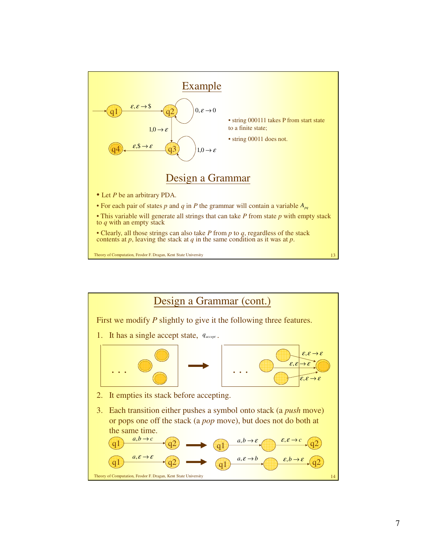